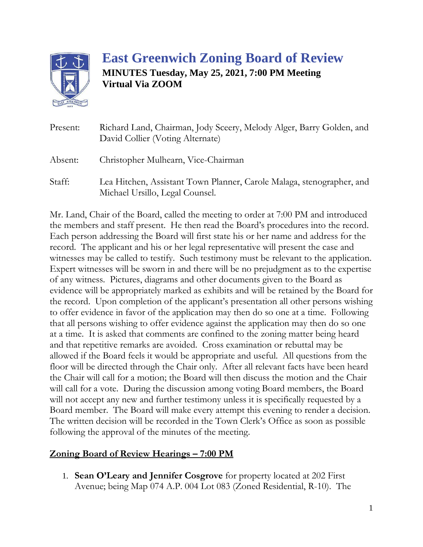

## **East Greenwich Zoning Board of Review MINUTES Tuesday, May 25, 2021, 7:00 PM Meeting Virtual Via ZOOM**

| Present: | Richard Land, Chairman, Jody Sceery, Melody Alger, Barry Golden, and<br>David Collier (Voting Alternate) |
|----------|----------------------------------------------------------------------------------------------------------|
| Absent:  | Christopher Mulhearn, Vice-Chairman                                                                      |
| Staff:   | Lea Hitchen, Assistant Town Planner, Carole Malaga, stenographer, and<br>Michael Ursillo, Legal Counsel. |

Mr. Land, Chair of the Board, called the meeting to order at 7:00 PM and introduced the members and staff present. He then read the Board's procedures into the record. Each person addressing the Board will first state his or her name and address for the record. The applicant and his or her legal representative will present the case and witnesses may be called to testify. Such testimony must be relevant to the application. Expert witnesses will be sworn in and there will be no prejudgment as to the expertise of any witness. Pictures, diagrams and other documents given to the Board as evidence will be appropriately marked as exhibits and will be retained by the Board for the record. Upon completion of the applicant's presentation all other persons wishing to offer evidence in favor of the application may then do so one at a time. Following that all persons wishing to offer evidence against the application may then do so one at a time. It is asked that comments are confined to the zoning matter being heard and that repetitive remarks are avoided. Cross examination or rebuttal may be allowed if the Board feels it would be appropriate and useful. All questions from the floor will be directed through the Chair only. After all relevant facts have been heard the Chair will call for a motion; the Board will then discuss the motion and the Chair will call for a vote. During the discussion among voting Board members, the Board will not accept any new and further testimony unless it is specifically requested by a Board member. The Board will make every attempt this evening to render a decision. The written decision will be recorded in the Town Clerk's Office as soon as possible following the approval of the minutes of the meeting.

## **Zoning Board of Review Hearings – 7:00 PM**

1. **Sean O'Leary and Jennifer Cosgrove** for property located at 202 First Avenue; being Map 074 A.P. 004 Lot 083 (Zoned Residential, R-10). The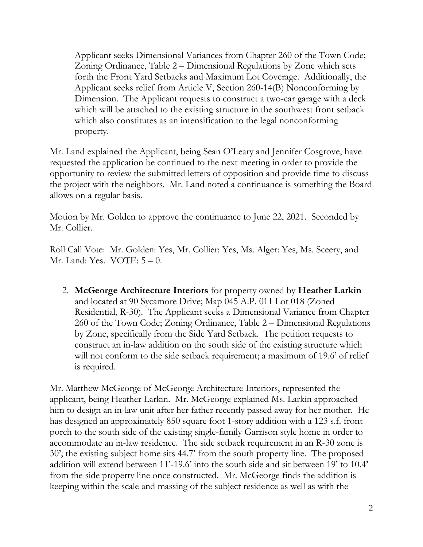Applicant seeks Dimensional Variances from Chapter 260 of the Town Code; Zoning Ordinance, Table 2 – Dimensional Regulations by Zone which sets forth the Front Yard Setbacks and Maximum Lot Coverage. Additionally, the Applicant seeks relief from Article V, Section 260-14(B) Nonconforming by Dimension. The Applicant requests to construct a two-car garage with a deck which will be attached to the existing structure in the southwest front setback which also constitutes as an intensification to the legal nonconforming property.

Mr. Land explained the Applicant, being Sean O'Leary and Jennifer Cosgrove, have requested the application be continued to the next meeting in order to provide the opportunity to review the submitted letters of opposition and provide time to discuss the project with the neighbors. Mr. Land noted a continuance is something the Board allows on a regular basis.

Motion by Mr. Golden to approve the continuance to June 22, 2021. Seconded by Mr. Collier.

Roll Call Vote: Mr. Golden: Yes, Mr. Collier: Yes, Ms. Alger: Yes, Ms. Sceery, and Mr. Land: Yes.  $VOTE: 5-0$ .

2. **McGeorge Architecture Interiors** for property owned by **Heather Larkin** and located at 90 Sycamore Drive; Map 045 A.P. 011 Lot 018 (Zoned Residential, R-30). The Applicant seeks a Dimensional Variance from Chapter 260 of the Town Code; Zoning Ordinance, Table 2 – Dimensional Regulations by Zone, specifically from the Side Yard Setback. The petition requests to construct an in-law addition on the south side of the existing structure which will not conform to the side setback requirement; a maximum of 19.6' of relief is required.

Mr. Matthew McGeorge of McGeorge Architecture Interiors, represented the applicant, being Heather Larkin. Mr. McGeorge explained Ms. Larkin approached him to design an in-law unit after her father recently passed away for her mother. He has designed an approximately 850 square foot 1-story addition with a 123 s.f. front porch to the south side of the existing single-family Garrison style home in order to accommodate an in-law residence. The side setback requirement in an R-30 zone is 30'; the existing subject home sits 44.7' from the south property line. The proposed addition will extend between 11'-19.6' into the south side and sit between 19' to 10.4' from the side property line once constructed. Mr. McGeorge finds the addition is keeping within the scale and massing of the subject residence as well as with the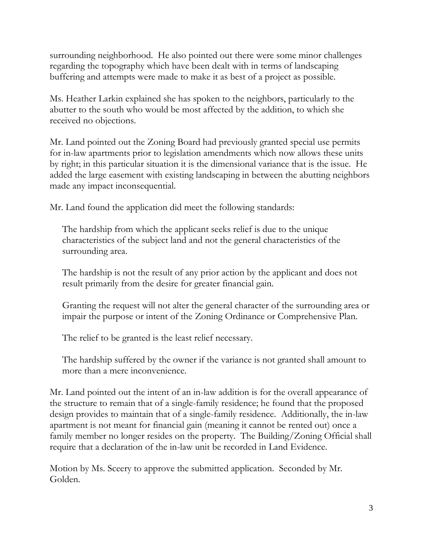surrounding neighborhood. He also pointed out there were some minor challenges regarding the topography which have been dealt with in terms of landscaping buffering and attempts were made to make it as best of a project as possible.

Ms. Heather Larkin explained she has spoken to the neighbors, particularly to the abutter to the south who would be most affected by the addition, to which she received no objections.

Mr. Land pointed out the Zoning Board had previously granted special use permits for in-law apartments prior to legislation amendments which now allows these units by right; in this particular situation it is the dimensional variance that is the issue. He added the large easement with existing landscaping in between the abutting neighbors made any impact inconsequential.

Mr. Land found the application did meet the following standards:

The hardship from which the applicant seeks relief is due to the unique characteristics of the subject land and not the general characteristics of the surrounding area.

The hardship is not the result of any prior action by the applicant and does not result primarily from the desire for greater financial gain.

Granting the request will not alter the general character of the surrounding area or impair the purpose or intent of the Zoning Ordinance or Comprehensive Plan.

The relief to be granted is the least relief necessary.

The hardship suffered by the owner if the variance is not granted shall amount to more than a mere inconvenience.

Mr. Land pointed out the intent of an in-law addition is for the overall appearance of the structure to remain that of a single-family residence; he found that the proposed design provides to maintain that of a single-family residence. Additionally, the in-law apartment is not meant for financial gain (meaning it cannot be rented out) once a family member no longer resides on the property. The Building/Zoning Official shall require that a declaration of the in-law unit be recorded in Land Evidence.

Motion by Ms. Sceery to approve the submitted application. Seconded by Mr. Golden.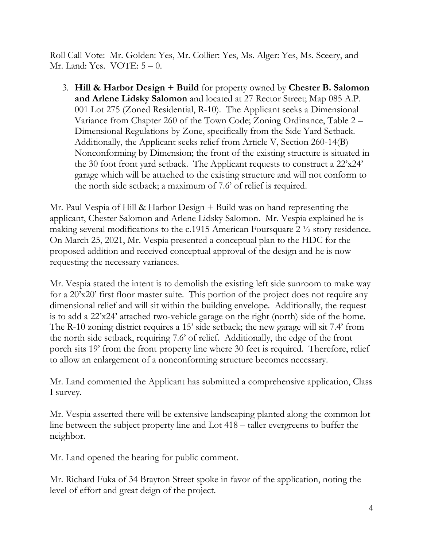Roll Call Vote: Mr. Golden: Yes, Mr. Collier: Yes, Ms. Alger: Yes, Ms. Sceery, and Mr. Land: Yes. VOTE: 5 – 0.

3. **Hill & Harbor Design + Build** for property owned by **Chester B. Salomon and Arlene Lidsky Salomon** and located at 27 Rector Street; Map 085 A.P. 001 Lot 275 (Zoned Residential, R-10). The Applicant seeks a Dimensional Variance from Chapter 260 of the Town Code; Zoning Ordinance, Table 2 – Dimensional Regulations by Zone, specifically from the Side Yard Setback. Additionally, the Applicant seeks relief from Article V, Section 260-14(B) Nonconforming by Dimension; the front of the existing structure is situated in the 30 foot front yard setback. The Applicant requests to construct a 22'x24' garage which will be attached to the existing structure and will not conform to the north side setback; a maximum of 7.6' of relief is required.

Mr. Paul Vespia of Hill & Harbor Design + Build was on hand representing the applicant, Chester Salomon and Arlene Lidsky Salomon. Mr. Vespia explained he is making several modifications to the c.1915 American Foursquare 2 ½ story residence. On March 25, 2021, Mr. Vespia presented a conceptual plan to the HDC for the proposed addition and received conceptual approval of the design and he is now requesting the necessary variances.

Mr. Vespia stated the intent is to demolish the existing left side sunroom to make way for a 20'x20' first floor master suite. This portion of the project does not require any dimensional relief and will sit within the building envelope. Additionally, the request is to add a 22'x24' attached two-vehicle garage on the right (north) side of the home. The R-10 zoning district requires a 15' side setback; the new garage will sit 7.4' from the north side setback, requiring 7.6' of relief. Additionally, the edge of the front porch sits 19' from the front property line where 30 feet is required. Therefore, relief to allow an enlargement of a nonconforming structure becomes necessary.

Mr. Land commented the Applicant has submitted a comprehensive application, Class I survey.

Mr. Vespia asserted there will be extensive landscaping planted along the common lot line between the subject property line and Lot 418 – taller evergreens to buffer the neighbor.

Mr. Land opened the hearing for public comment.

Mr. Richard Fuka of 34 Brayton Street spoke in favor of the application, noting the level of effort and great deign of the project.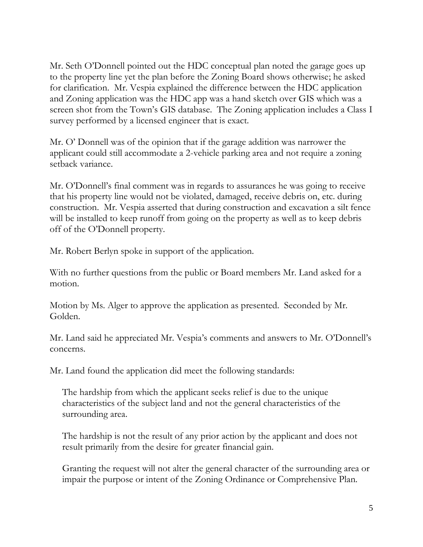Mr. Seth O'Donnell pointed out the HDC conceptual plan noted the garage goes up to the property line yet the plan before the Zoning Board shows otherwise; he asked for clarification. Mr. Vespia explained the difference between the HDC application and Zoning application was the HDC app was a hand sketch over GIS which was a screen shot from the Town's GIS database. The Zoning application includes a Class I survey performed by a licensed engineer that is exact.

Mr. O' Donnell was of the opinion that if the garage addition was narrower the applicant could still accommodate a 2-vehicle parking area and not require a zoning setback variance.

Mr. O'Donnell's final comment was in regards to assurances he was going to receive that his property line would not be violated, damaged, receive debris on, etc. during construction. Mr. Vespia asserted that during construction and excavation a silt fence will be installed to keep runoff from going on the property as well as to keep debris off of the O'Donnell property.

Mr. Robert Berlyn spoke in support of the application.

With no further questions from the public or Board members Mr. Land asked for a motion.

Motion by Ms. Alger to approve the application as presented. Seconded by Mr. Golden.

Mr. Land said he appreciated Mr. Vespia's comments and answers to Mr. O'Donnell's concerns.

Mr. Land found the application did meet the following standards:

The hardship from which the applicant seeks relief is due to the unique characteristics of the subject land and not the general characteristics of the surrounding area.

The hardship is not the result of any prior action by the applicant and does not result primarily from the desire for greater financial gain.

Granting the request will not alter the general character of the surrounding area or impair the purpose or intent of the Zoning Ordinance or Comprehensive Plan.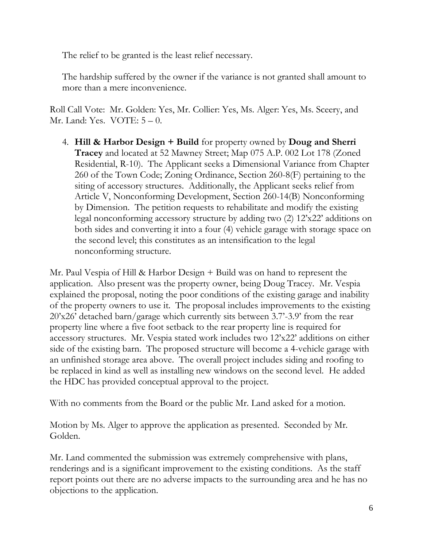The relief to be granted is the least relief necessary.

The hardship suffered by the owner if the variance is not granted shall amount to more than a mere inconvenience.

Roll Call Vote: Mr. Golden: Yes, Mr. Collier: Yes, Ms. Alger: Yes, Ms. Sceery, and Mr. Land: Yes. VOTE: 5 – 0.

4. **Hill & Harbor Design + Build** for property owned by **Doug and Sherri Tracey** and located at 52 Mawney Street; Map 075 A.P. 002 Lot 178 (Zoned Residential, R-10). The Applicant seeks a Dimensional Variance from Chapter 260 of the Town Code; Zoning Ordinance, Section 260-8(F) pertaining to the siting of accessory structures. Additionally, the Applicant seeks relief from Article V, Nonconforming Development, Section 260-14(B) Nonconforming by Dimension. The petition requests to rehabilitate and modify the existing legal nonconforming accessory structure by adding two (2) 12'x22' additions on both sides and converting it into a four (4) vehicle garage with storage space on the second level; this constitutes as an intensification to the legal nonconforming structure.

Mr. Paul Vespia of Hill & Harbor Design + Build was on hand to represent the application. Also present was the property owner, being Doug Tracey. Mr. Vespia explained the proposal, noting the poor conditions of the existing garage and inability of the property owners to use it. The proposal includes improvements to the existing 20'x26' detached barn/garage which currently sits between 3.7'-3.9' from the rear property line where a five foot setback to the rear property line is required for accessory structures. Mr. Vespia stated work includes two 12'x22' additions on either side of the existing barn. The proposed structure will become a 4-vehicle garage with an unfinished storage area above. The overall project includes siding and roofing to be replaced in kind as well as installing new windows on the second level. He added the HDC has provided conceptual approval to the project.

With no comments from the Board or the public Mr. Land asked for a motion.

Motion by Ms. Alger to approve the application as presented. Seconded by Mr. Golden.

Mr. Land commented the submission was extremely comprehensive with plans, renderings and is a significant improvement to the existing conditions. As the staff report points out there are no adverse impacts to the surrounding area and he has no objections to the application.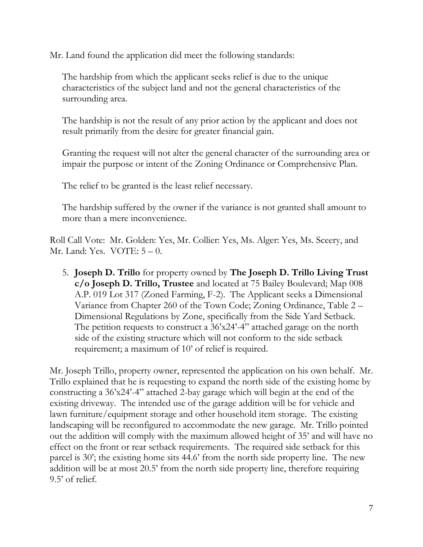Mr. Land found the application did meet the following standards:

The hardship from which the applicant seeks relief is due to the unique characteristics of the subject land and not the general characteristics of the surrounding area.

The hardship is not the result of any prior action by the applicant and does not result primarily from the desire for greater financial gain.

Granting the request will not alter the general character of the surrounding area or impair the purpose or intent of the Zoning Ordinance or Comprehensive Plan.

The relief to be granted is the least relief necessary.

The hardship suffered by the owner if the variance is not granted shall amount to more than a mere inconvenience.

Roll Call Vote: Mr. Golden: Yes, Mr. Collier: Yes, Ms. Alger: Yes, Ms. Sceery, and Mr. Land: Yes. VOTE: 5 – 0.

5. **Joseph D. Trillo** for property owned by **The Joseph D. Trillo Living Trust c/o Joseph D. Trillo, Trustee** and located at 75 Bailey Boulevard; Map 008 A.P. 019 Lot 317 (Zoned Farming, F-2). The Applicant seeks a Dimensional Variance from Chapter 260 of the Town Code; Zoning Ordinance, Table 2 – Dimensional Regulations by Zone, specifically from the Side Yard Setback. The petition requests to construct a 36'x24'-4" attached garage on the north side of the existing structure which will not conform to the side setback requirement; a maximum of 10' of relief is required.

Mr. Joseph Trillo, property owner, represented the application on his own behalf. Mr. Trillo explained that he is requesting to expand the north side of the existing home by constructing a 36'x24'-4" attached 2-bay garage which will begin at the end of the existing driveway. The intended use of the garage addition will be for vehicle and lawn furniture/equipment storage and other household item storage. The existing landscaping will be reconfigured to accommodate the new garage. Mr. Trillo pointed out the addition will comply with the maximum allowed height of 35' and will have no effect on the front or rear setback requirements. The required side setback for this parcel is 30'; the existing home sits 44.6' from the north side property line. The new addition will be at most 20.5' from the north side property line, therefore requiring 9.5' of relief.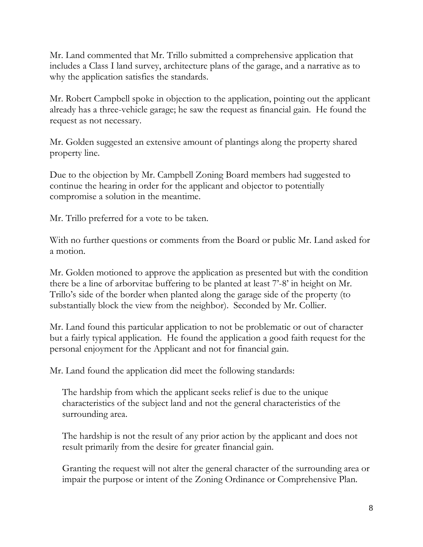Mr. Land commented that Mr. Trillo submitted a comprehensive application that includes a Class I land survey, architecture plans of the garage, and a narrative as to why the application satisfies the standards.

Mr. Robert Campbell spoke in objection to the application, pointing out the applicant already has a three-vehicle garage; he saw the request as financial gain. He found the request as not necessary.

Mr. Golden suggested an extensive amount of plantings along the property shared property line.

Due to the objection by Mr. Campbell Zoning Board members had suggested to continue the hearing in order for the applicant and objector to potentially compromise a solution in the meantime.

Mr. Trillo preferred for a vote to be taken.

With no further questions or comments from the Board or public Mr. Land asked for a motion.

Mr. Golden motioned to approve the application as presented but with the condition there be a line of arborvitae buffering to be planted at least 7'-8' in height on Mr. Trillo's side of the border when planted along the garage side of the property (to substantially block the view from the neighbor). Seconded by Mr. Collier.

Mr. Land found this particular application to not be problematic or out of character but a fairly typical application. He found the application a good faith request for the personal enjoyment for the Applicant and not for financial gain.

Mr. Land found the application did meet the following standards:

The hardship from which the applicant seeks relief is due to the unique characteristics of the subject land and not the general characteristics of the surrounding area.

The hardship is not the result of any prior action by the applicant and does not result primarily from the desire for greater financial gain.

Granting the request will not alter the general character of the surrounding area or impair the purpose or intent of the Zoning Ordinance or Comprehensive Plan.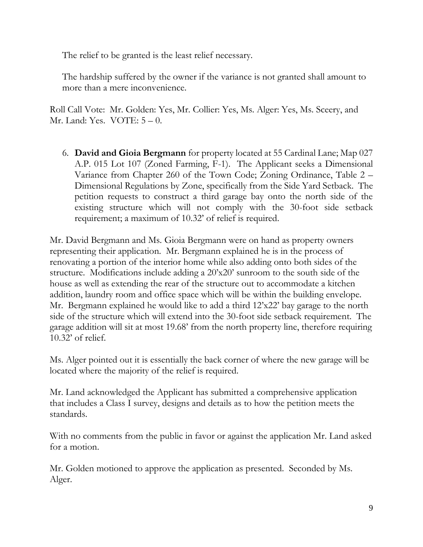The relief to be granted is the least relief necessary.

The hardship suffered by the owner if the variance is not granted shall amount to more than a mere inconvenience.

Roll Call Vote: Mr. Golden: Yes, Mr. Collier: Yes, Ms. Alger: Yes, Ms. Sceery, and Mr. Land: Yes. VOTE: 5 – 0.

6. **David and Gioia Bergmann** for property located at 55 Cardinal Lane; Map 027 A.P. 015 Lot 107 (Zoned Farming, F-1). The Applicant seeks a Dimensional Variance from Chapter 260 of the Town Code; Zoning Ordinance, Table 2 – Dimensional Regulations by Zone, specifically from the Side Yard Setback. The petition requests to construct a third garage bay onto the north side of the existing structure which will not comply with the 30-foot side setback requirement; a maximum of 10.32' of relief is required.

Mr. David Bergmann and Ms. Gioia Bergmann were on hand as property owners representing their application. Mr. Bergmann explained he is in the process of renovating a portion of the interior home while also adding onto both sides of the structure. Modifications include adding a 20'x20' sunroom to the south side of the house as well as extending the rear of the structure out to accommodate a kitchen addition, laundry room and office space which will be within the building envelope. Mr. Bergmann explained he would like to add a third 12'x22' bay garage to the north side of the structure which will extend into the 30-foot side setback requirement. The garage addition will sit at most 19.68' from the north property line, therefore requiring 10.32' of relief.

Ms. Alger pointed out it is essentially the back corner of where the new garage will be located where the majority of the relief is required.

Mr. Land acknowledged the Applicant has submitted a comprehensive application that includes a Class I survey, designs and details as to how the petition meets the standards.

With no comments from the public in favor or against the application Mr. Land asked for a motion.

Mr. Golden motioned to approve the application as presented. Seconded by Ms. Alger.